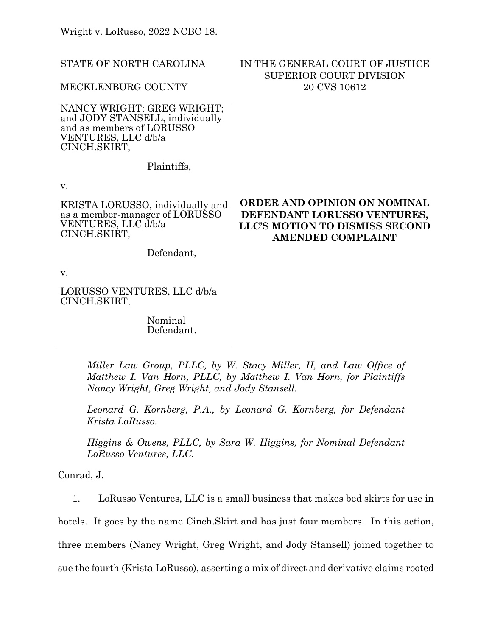| STATE OF NORTH CAROLINA                                                                                                           | IN THE GENERAL COURT OF JUSTICE<br><b>SUPERIOR COURT DIVISION</b><br>20 CVS 10612                                         |
|-----------------------------------------------------------------------------------------------------------------------------------|---------------------------------------------------------------------------------------------------------------------------|
| MECKLENBURG COUNTY                                                                                                                |                                                                                                                           |
| NANCY WRIGHT; GREG WRIGHT;<br>and JODY STANSELL, individually<br>and as members of LORUSSO<br>VENTURES, LLC d/b/a<br>CINCH.SKIRT, |                                                                                                                           |
| Plaintiffs,                                                                                                                       |                                                                                                                           |
| V.                                                                                                                                |                                                                                                                           |
| KRISTA LORUSSO, individually and<br>as a member-manager of LORUSSO<br>VENTURES, LLC d/b/a<br>CINCH.SKIRT,                         | ORDER AND OPINION ON NOMINAL<br>DEFENDANT LORUSSO VENTURES,<br>LLC'S MOTION TO DISMISS SECOND<br><b>AMENDED COMPLAINT</b> |
| Defendant,                                                                                                                        |                                                                                                                           |
| V.                                                                                                                                |                                                                                                                           |
| LORUSSO VENTURES, LLC d/b/a<br>CINCH.SKIRT,                                                                                       |                                                                                                                           |
| Nominal<br>Defendant.                                                                                                             |                                                                                                                           |

*Miller Law Group, PLLC, by W. Stacy Miller, II, and Law Office of Matthew I. Van Horn, PLLC, by Matthew I. Van Horn, for Plaintiffs Nancy Wright, Greg Wright, and Jody Stansell.*

*Leonard G. Kornberg, P.A., by Leonard G. Kornberg, for Defendant Krista LoRusso.*

*Higgins & Owens, PLLC, by Sara W. Higgins, for Nominal Defendant LoRusso Ventures, LLC.*

Conrad, J.

1. LoRusso Ventures, LLC is a small business that makes bed skirts for use in

hotels. It goes by the name Cinch.Skirt and has just four members. In this action,

three members (Nancy Wright, Greg Wright, and Jody Stansell) joined together to

sue the fourth (Krista LoRusso), asserting a mix of direct and derivative claims rooted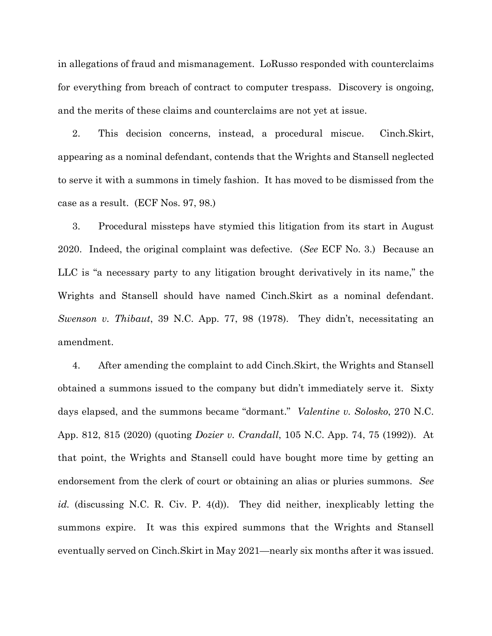in allegations of fraud and mismanagement. LoRusso responded with counterclaims for everything from breach of contract to computer trespass. Discovery is ongoing, and the merits of these claims and counterclaims are not yet at issue.

2. This decision concerns, instead, a procedural miscue. Cinch.Skirt, appearing as a nominal defendant, contends that the Wrights and Stansell neglected to serve it with a summons in timely fashion. It has moved to be dismissed from the case as a result. (ECF Nos. 97, 98.)

3. Procedural missteps have stymied this litigation from its start in August 2020. Indeed, the original complaint was defective. (*See* ECF No. 3.) Because an LLC is "a necessary party to any litigation brought derivatively in its name," the Wrights and Stansell should have named Cinch.Skirt as a nominal defendant. *Swenson v. Thibaut*, 39 N.C. App. 77, 98 (1978). They didn't, necessitating an amendment.

4. After amending the complaint to add Cinch.Skirt, the Wrights and Stansell obtained a summons issued to the company but didn't immediately serve it. Sixty days elapsed, and the summons became "dormant." *Valentine v. Solosko*, 270 N.C. App. 812, 815 (2020) (quoting *Dozier v. Crandall*, 105 N.C. App. 74, 75 (1992)). At that point, the Wrights and Stansell could have bought more time by getting an endorsement from the clerk of court or obtaining an alias or pluries summons. *See id.* (discussing N.C. R. Civ. P. 4(d)). They did neither, inexplicably letting the summons expire. It was this expired summons that the Wrights and Stansell eventually served on Cinch.Skirt in May 2021—nearly six months after it was issued.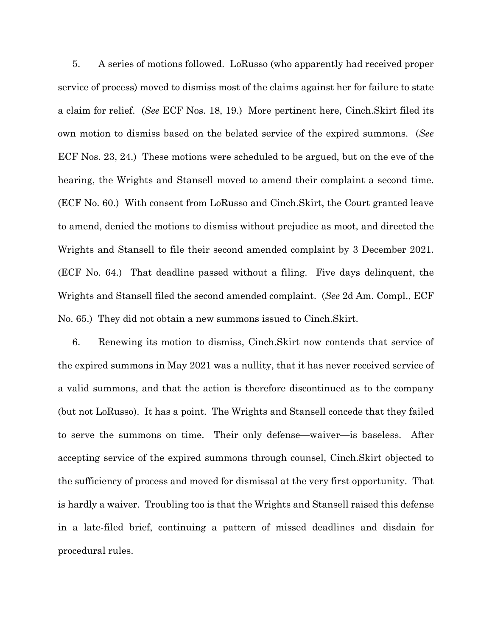5. A series of motions followed. LoRusso (who apparently had received proper service of process) moved to dismiss most of the claims against her for failure to state a claim for relief. (*See* ECF Nos. 18, 19.) More pertinent here, Cinch.Skirt filed its own motion to dismiss based on the belated service of the expired summons. (*See* ECF Nos. 23, 24.) These motions were scheduled to be argued, but on the eve of the hearing, the Wrights and Stansell moved to amend their complaint a second time. (ECF No. 60.) With consent from LoRusso and Cinch.Skirt, the Court granted leave to amend, denied the motions to dismiss without prejudice as moot, and directed the Wrights and Stansell to file their second amended complaint by 3 December 2021. (ECF No. 64.) That deadline passed without a filing. Five days delinquent, the Wrights and Stansell filed the second amended complaint. (*See* 2d Am. Compl., ECF No. 65.) They did not obtain a new summons issued to Cinch.Skirt.

6. Renewing its motion to dismiss, Cinch.Skirt now contends that service of the expired summons in May 2021 was a nullity, that it has never received service of a valid summons, and that the action is therefore discontinued as to the company (but not LoRusso). It has a point. The Wrights and Stansell concede that they failed to serve the summons on time. Their only defense—waiver—is baseless. After accepting service of the expired summons through counsel, Cinch.Skirt objected to the sufficiency of process and moved for dismissal at the very first opportunity. That is hardly a waiver. Troubling too is that the Wrights and Stansell raised this defense in a late-filed brief, continuing a pattern of missed deadlines and disdain for procedural rules.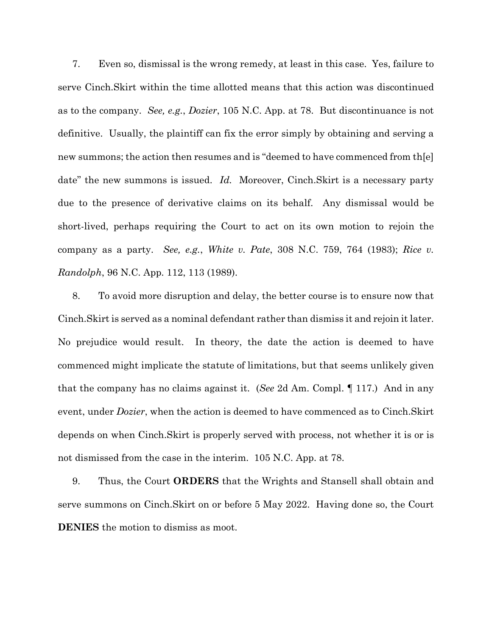7. Even so, dismissal is the wrong remedy, at least in this case. Yes, failure to serve Cinch.Skirt within the time allotted means that this action was discontinued as to the company. *See, e.g.*, *Dozier*, 105 N.C. App. at 78. But discontinuance is not definitive. Usually, the plaintiff can fix the error simply by obtaining and serving a new summons; the action then resumes and is "deemed to have commenced from th[e] date" the new summons is issued. *Id.* Moreover, Cinch.Skirt is a necessary party due to the presence of derivative claims on its behalf. Any dismissal would be short-lived, perhaps requiring the Court to act on its own motion to rejoin the company as a party. *See, e.g.*, *White v. Pate*, 308 N.C. 759, 764 (1983); *Rice v. Randolph*, 96 N.C. App. 112, 113 (1989).

8. To avoid more disruption and delay, the better course is to ensure now that Cinch.Skirt is served as a nominal defendant rather than dismiss it and rejoin it later. No prejudice would result. In theory, the date the action is deemed to have commenced might implicate the statute of limitations, but that seems unlikely given that the company has no claims against it. (*See* 2d Am. Compl. ¶ 117.) And in any event, under *Dozier*, when the action is deemed to have commenced as to Cinch.Skirt depends on when Cinch.Skirt is properly served with process, not whether it is or is not dismissed from the case in the interim. 105 N.C. App. at 78.

9. Thus, the Court **ORDERS** that the Wrights and Stansell shall obtain and serve summons on Cinch.Skirt on or before 5 May 2022. Having done so, the Court **DENIES** the motion to dismiss as moot.